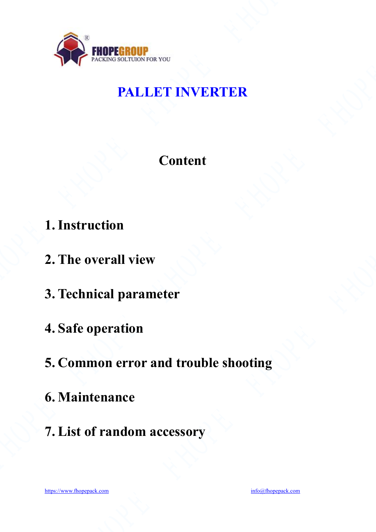

# **PALLET INVERTER**

### **Content**

- **1. Instruction**
- **2. The overall view**
- **3. Technical parameter**
- **4. Safe operation**
- **5. Common error and trouble shooting** oting<br>
and the set of the set of the set of the set of the set of the set of the set of the set of the set of the set of the set of the set of the set of the set of the set of the set of the set of the set of the set of th
- **6. Maintenance**
- **7. List of random accessory**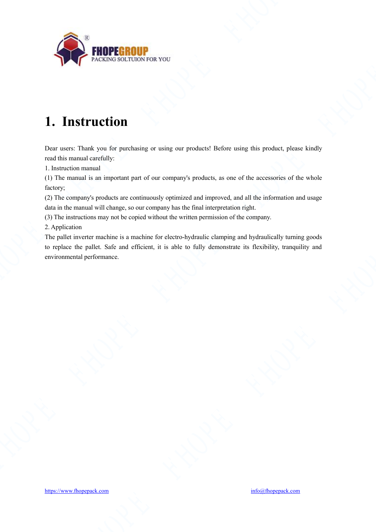

# **1. Instruction**

Dear users: Thank you for purchasing or using our products! Before using this product, please kindly read this manual carefully:

1. Instruction manual

(1) The manual is an important part of our company's products, as one of the accessories of the whole factory;

(2) The company's products are continuously optimized and improved, and all the information and usage data in the manual will change, so our company has the final interpretation right.

(3) The instructions may not be copied without the written permission of the company.

2. Application

The pallet inverter machine is a machine for electro-hydraulic clamping and hydraulically turning goods to replace the pallet. Safe and efficient, it is able to fully demonstrate its flexibility, tranquility and environmental performance. **FHOPERFOUR FEROM CONTRACT CONTRACT CONTRACT CONTRACT CONTRACT CONTRACT CONTRACT CONTRACT CONTRACT CONTRACT CONTRACT CONTRACT CONTRACT CONTRACT CONTRACT CONTRACT CONTRACT CONTRACT CONTRACT CONTRACT CONTRACT CONTRACT CONTR**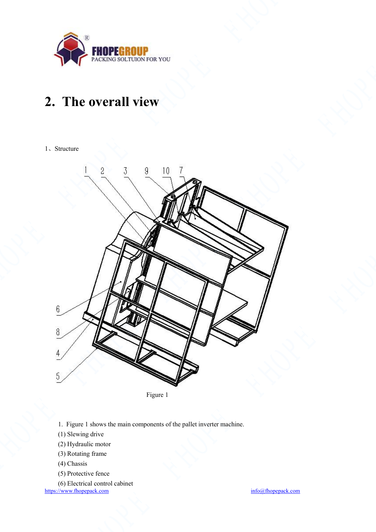

# **2.** The overall view

#### 1、Structure





- 1. Figure 1 shows the main components of the pallet inverter machine.
- (1) Slewing drive
- (2) Hydraulic motor
- (3) Rotating frame
- (4) Chassis
- (5) Protective fence
- (6) Electrical control cabinet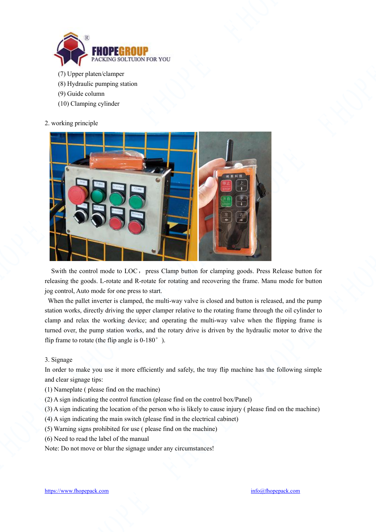

- (7) Upper platen/clamper
- (8) Hydraulic pumping station
- (9) Guide column
- (10) Clamping cylinder
- 2. working principle



Swith the control mode to LOC, press Clamp button for clamping goods. Press Release button for releasing the goods. L-rotate and R-rotate for rotating and recovering the frame. Manu mode for button jog control, Auto mode for one press to start.

When the pallet inverter is clamped, the multi-way valve is closed and button is released, and the pump station works, directly driving the upper clamper relative to the rotating frame through the oil cylinder to clamp and relax the working device; and operating the multi-way valve when the flipping frame is turned over, the pump station works, and the rotary drive is driven by the hydraulic motor to drive the flip frame to rotate (the flip angle is  $0-180^\circ$ ).<br>3. Signage<br>In order to make you use it more efficiently and safel flip frame to rotate (the flip angle is 0-180°).

#### 3. Signage

In order to make you use it more efficiently and safely, the tray flip machine has the following simple and clear signage tips:

- (1) Nameplate ( please find on the machine)
- (2) A sign indicating the control function (please find on the control box/Panel)

(3) A sign indicating the location of the person who is likely to cause injury ( please find on the machine)

- (4) A sign indicating the main switch (please find in the electrical cabinet)
- (5) Warning signs prohibited for use ( please find on the machine)
- (6) Need to read the label of the manual

Note: Do not move or blur the signage under any circumstances!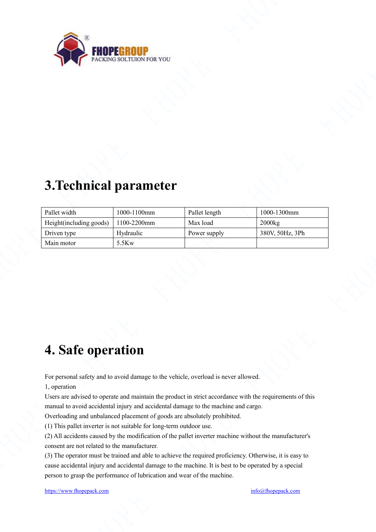

### **3.Technical parameter**

| <b>FHOPE</b><br><b>FHOPEGROUP</b><br>PACKING SOLTUION FOR YOU<br>3. Technical parameter<br>Pallet width<br>1000-1100mm<br>Pallet length<br>1000-1300mm<br>Height(including goods)<br>1100-2200mm<br>Max load<br>2000kg<br>380V, 50Hz, 3Ph<br>Hydraulic<br>Driven type<br>Power supply<br>5.5Kw<br>Main motor<br>4. Safe operation<br>For personal safety and to avoid damage to the vehicle, overload is never allowed.<br>1, operation<br>manual to avoid accidental injury and accidental damage to the machine and cargo.<br>Overloading and unbalanced placement of goods are absolutely prohibited.<br>(1) This pallet inverter is not suitable for long-term outdoor use.<br>(2) All accidents caused by the modification of the pallet inverter machine without the manufacturer's<br>consent are not related to the manufacturer.<br>(3) The operator must be trained and able to achieve the required proficiency. Otherwise, it is easy to<br>cause accidental injury and accidental damage to the machine. It is best to be operated by a special<br>person to grasp the performance of lubrication and wear of the machine.<br>https://www.fhopepack.com<br>info@fhopepack.com |  |  |
|--------------------------------------------------------------------------------------------------------------------------------------------------------------------------------------------------------------------------------------------------------------------------------------------------------------------------------------------------------------------------------------------------------------------------------------------------------------------------------------------------------------------------------------------------------------------------------------------------------------------------------------------------------------------------------------------------------------------------------------------------------------------------------------------------------------------------------------------------------------------------------------------------------------------------------------------------------------------------------------------------------------------------------------------------------------------------------------------------------------------------------------------------------------------------------------------|--|--|
|                                                                                                                                                                                                                                                                                                                                                                                                                                                                                                                                                                                                                                                                                                                                                                                                                                                                                                                                                                                                                                                                                                                                                                                            |  |  |
|                                                                                                                                                                                                                                                                                                                                                                                                                                                                                                                                                                                                                                                                                                                                                                                                                                                                                                                                                                                                                                                                                                                                                                                            |  |  |
|                                                                                                                                                                                                                                                                                                                                                                                                                                                                                                                                                                                                                                                                                                                                                                                                                                                                                                                                                                                                                                                                                                                                                                                            |  |  |
|                                                                                                                                                                                                                                                                                                                                                                                                                                                                                                                                                                                                                                                                                                                                                                                                                                                                                                                                                                                                                                                                                                                                                                                            |  |  |
|                                                                                                                                                                                                                                                                                                                                                                                                                                                                                                                                                                                                                                                                                                                                                                                                                                                                                                                                                                                                                                                                                                                                                                                            |  |  |
|                                                                                                                                                                                                                                                                                                                                                                                                                                                                                                                                                                                                                                                                                                                                                                                                                                                                                                                                                                                                                                                                                                                                                                                            |  |  |
|                                                                                                                                                                                                                                                                                                                                                                                                                                                                                                                                                                                                                                                                                                                                                                                                                                                                                                                                                                                                                                                                                                                                                                                            |  |  |
|                                                                                                                                                                                                                                                                                                                                                                                                                                                                                                                                                                                                                                                                                                                                                                                                                                                                                                                                                                                                                                                                                                                                                                                            |  |  |
|                                                                                                                                                                                                                                                                                                                                                                                                                                                                                                                                                                                                                                                                                                                                                                                                                                                                                                                                                                                                                                                                                                                                                                                            |  |  |
|                                                                                                                                                                                                                                                                                                                                                                                                                                                                                                                                                                                                                                                                                                                                                                                                                                                                                                                                                                                                                                                                                                                                                                                            |  |  |
| Users are advised to operate and maintain the product in strict accordance with the requirements of this                                                                                                                                                                                                                                                                                                                                                                                                                                                                                                                                                                                                                                                                                                                                                                                                                                                                                                                                                                                                                                                                                   |  |  |
|                                                                                                                                                                                                                                                                                                                                                                                                                                                                                                                                                                                                                                                                                                                                                                                                                                                                                                                                                                                                                                                                                                                                                                                            |  |  |
|                                                                                                                                                                                                                                                                                                                                                                                                                                                                                                                                                                                                                                                                                                                                                                                                                                                                                                                                                                                                                                                                                                                                                                                            |  |  |
|                                                                                                                                                                                                                                                                                                                                                                                                                                                                                                                                                                                                                                                                                                                                                                                                                                                                                                                                                                                                                                                                                                                                                                                            |  |  |
|                                                                                                                                                                                                                                                                                                                                                                                                                                                                                                                                                                                                                                                                                                                                                                                                                                                                                                                                                                                                                                                                                                                                                                                            |  |  |
|                                                                                                                                                                                                                                                                                                                                                                                                                                                                                                                                                                                                                                                                                                                                                                                                                                                                                                                                                                                                                                                                                                                                                                                            |  |  |
|                                                                                                                                                                                                                                                                                                                                                                                                                                                                                                                                                                                                                                                                                                                                                                                                                                                                                                                                                                                                                                                                                                                                                                                            |  |  |
|                                                                                                                                                                                                                                                                                                                                                                                                                                                                                                                                                                                                                                                                                                                                                                                                                                                                                                                                                                                                                                                                                                                                                                                            |  |  |
|                                                                                                                                                                                                                                                                                                                                                                                                                                                                                                                                                                                                                                                                                                                                                                                                                                                                                                                                                                                                                                                                                                                                                                                            |  |  |
|                                                                                                                                                                                                                                                                                                                                                                                                                                                                                                                                                                                                                                                                                                                                                                                                                                                                                                                                                                                                                                                                                                                                                                                            |  |  |
|                                                                                                                                                                                                                                                                                                                                                                                                                                                                                                                                                                                                                                                                                                                                                                                                                                                                                                                                                                                                                                                                                                                                                                                            |  |  |
|                                                                                                                                                                                                                                                                                                                                                                                                                                                                                                                                                                                                                                                                                                                                                                                                                                                                                                                                                                                                                                                                                                                                                                                            |  |  |

### **4. Safe operation**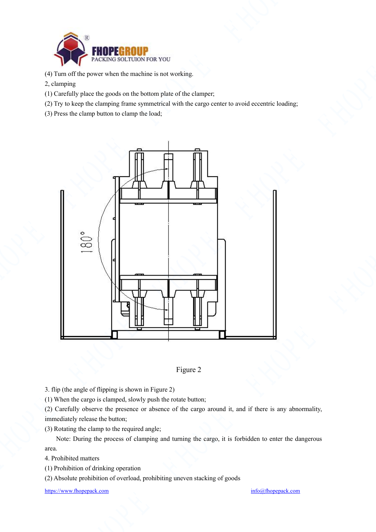

- (4) Turn off the power when the machine is not working.
- 2, clamping
- (1) Carefully place the goods on the bottom plate of the clamper;
- (2) Try to keep the clamping frame symmetrical with the cargo center to avoid eccentric loading;
- (3) Press the clamp button to clamp the load;





3. flip (the angle of flipping is shown in Figure 2)

 $(1)$  When the cargo is clamped, slowly push the rotate button;

(2) Carefully observe the presence or absence of the cargo around it, and if there is any abnormality, immediately release the button;

(3) Rotating the clamp to the required angle;

Note: During the process of clamping and turning the cargo, it is forbidden to enter the dangerous area.

4. Prohibited matters

(1) Prohibition of drinking operation

(2) Absolute prohibition of overload, prohibiting uneven stacking of goods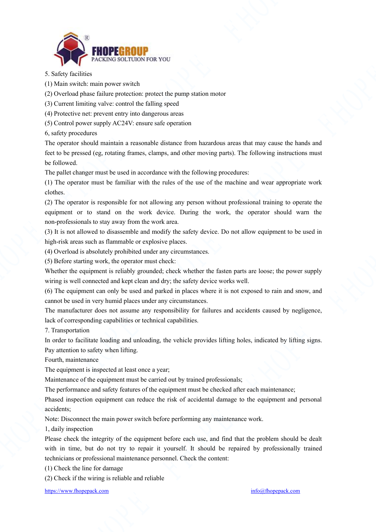

5. Safety facilities

(1) Main switch: main power switch

(2) Overload phase failure protection: protect the pump station motor

(3) Current limiting valve: control the falling speed

(4) Protective net: prevent entry into dangerous areas

(5) Control power supply AC24V: ensure safe operation

6, safety procedures

The operator should maintain a reasonable distance from hazardous areas that may cause the hands and feet to be pressed (eg, rotating frames, clamps, and other moving parts). The following instructions must be followed.

The pallet changer must be used in accordance with the following procedures:

(1) The operator must be familiar with the rules of the use of the machine and wear appropriate work clothes.

(2) The operator is responsible for not allowing any person without professional training to operate the equipment or to stand on the work device. During the work, the operator should warn the non-professionals to stay away from the work area.

(3) It is not allowed to disassemble and modify the safety device. Do not allow equipment to be used in high-risk areas such as flammable or explosive places.

(4) Overload is absolutely prohibited under any circumstances.

(5) Before starting work, the operator must check:

Whether the equipment is reliably grounded; check whether the fasten parts are loose; the power supply wiring is well connected and kept clean and dry; the safety device works well.

(6) The equipment can only be used and parked in places where it is not exposed to rain and snow, and cannot be used in very humid places under any circumstances.

The manufacturer does not assume any responsibility for failures and accidents caused by negligence, lack of corresponding capabilities or technical capabilities.

7. Transportation

In order to facilitate loading and unloading, the vehicle provides lifting holes, indicated by lifting signs. Pay attention to safety when lifting. les, indicated by lifting signs.<br>Creach maintenance;

Fourth, maintenance

The equipment is inspected at least once a year;

Maintenance of the equipment must be carried out by trained professionals;

The performance and safety features of the equipment must be checked after each maintenance;

Phased inspection equipment can reduce the risk of accidental damage to the equipment and personal accidents;

Note: Disconnect the main power switch before performing any maintenance work.

1, daily inspection

Please check the integrity of the equipment before each use, and find that the problem should be dealt with in time, but do not try to repair it yourself. It should be repaired by professionally trained technicians or professional maintenance personnel. Check the content: **FHOPE FHOPE FHOPE FHOPE FHOPE FHOPE FHOPE FHOPE FHOPE FHOPE FHOPE FHOPE FHOPE FHOPE FHOPE FHOPE FHOPE FHOPE FHOPE FHOPE FHOPE FHOPE FHOPE FHOPE FHOPE FHOPE FHOPE FHOPE FHOPE FHOPE FHOPE FHOPE FHOPE FHOPE FHOPE FHOPE FHOP** 

(1) Check the line for damage

(2) Check if the wiring is reliable and reliable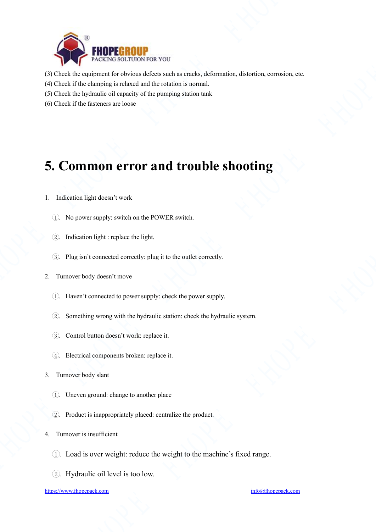

- (3) Check the equipment for obvious defects such as cracks, deformation, distortion, corrosion, etc.
- (4) Check if the clamping is relaxed and the rotation is normal.
- (5) Check the hydraulic oil capacity of the pumping station tank
- (6) Check if the fasteners are loose

### **5. Common error and trouble shooting**

- 1. Indication light doesn't work
	- 1 . No power supply: switch on the POWER switch.
	- $(2)$ . Indication light : replace the light.
	- 3. Plug isn't connected correctly: plug it to the outlet correctly.
- 2. Turnover body doesn't move
	- (1). Haven't connected to power supply: check the power supply.
	- 2. Something wrong with the hydraulic station: check the hydraulic system.
	- 3. Control button doesn't work: replace it.
	- 4. Electrical components broken: replace it.
- 3. Turnover body slant
	- (1). Uneven ground: change to another place
	- 2. Product is inappropriately placed: centralize the product.
- 4. Turnover is insufficient
	- $(1)$ . Load is over weight: reduce the weight to the machine's fixed range.
	- (2). Hydraulic oil level is too low.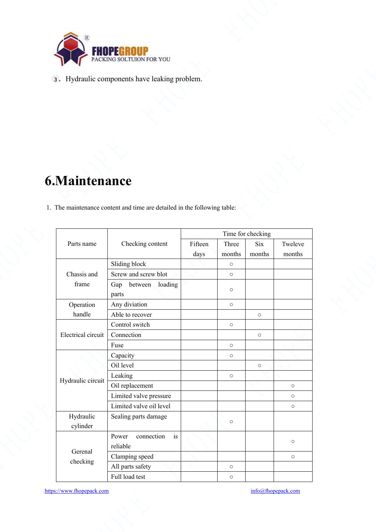

# **6.Maintenance**

|                       | <b>FHOPEGROUP</b><br>PACKING SOLTUION FOR YOU                                              |                               |                          |                    |
|-----------------------|--------------------------------------------------------------------------------------------|-------------------------------|--------------------------|--------------------|
|                       | 3. Hydraulic components have leaking problem.                                              |                               |                          |                    |
|                       |                                                                                            |                               |                          |                    |
| <b>6.Maintenance</b>  | 1. The maintenance content and time are detailed in the following table:                   |                               |                          |                    |
| Parts name            | Checking content                                                                           | Fifteen<br>Three              | Time for checking<br>Six | Tweleve            |
|                       |                                                                                            | days<br>months                | months                   | months             |
| Chassis and<br>frame  | Sliding block<br>Screw and screw blot<br>Gap between loading                               | $\circ$<br>$\circ$<br>$\circ$ |                          |                    |
| Operation<br>handle   | parts<br>Any diviation<br>Able to recover                                                  | $\circ$                       | $\circ$                  |                    |
| Electrical circuit    | Control switch<br>Connection                                                               | $\circ$                       | $\circ$                  |                    |
|                       |                                                                                            | $\circ$                       |                          |                    |
|                       | Fuse<br>Capacity<br>Oil level                                                              | $\circ$                       | $\circ$                  |                    |
| Hydraulic circuit     | Leaking<br>Oil replacement<br>Limited valve pressure                                       | $\circ$                       |                          | $\circ$<br>$\circ$ |
| Hydraulic<br>cylinder | Limited valve oil level<br>Sealing parts damage                                            | $\circ$                       |                          | $\circ$            |
| Gerenal<br>checking   | connection is<br>Power<br>reliable<br>Clamping speed<br>All parts safety<br>Full load test | $\circ$<br>$\circ$            |                          | $\circ$<br>$\circ$ |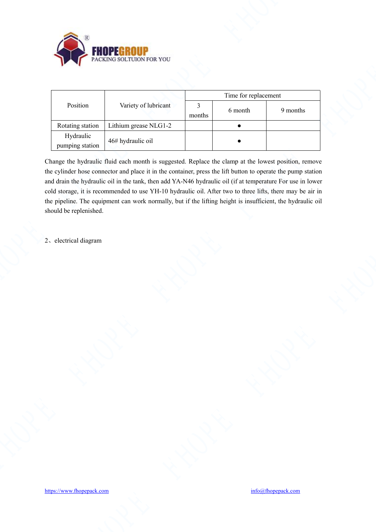

|                              | <b>FHOPE</b>             |                          |                      |          |
|------------------------------|--------------------------|--------------------------|----------------------|----------|
|                              | PACKING SOLTUION FOR YOU |                          |                      |          |
|                              |                          |                          |                      |          |
|                              |                          |                          | Time for replacement |          |
| Position                     | Variety of lubricant     | $\overline{3}$<br>months | 6 month              | 9 months |
| Rotating station             | Lithium grease NLG1-2    |                          | $\bullet$            |          |
| Hydraulic<br>pumping station | 46# hydraulic oil        |                          | $\bullet$            |          |
| 2. electrical diagram        |                          |                          |                      |          |
|                              |                          |                          |                      |          |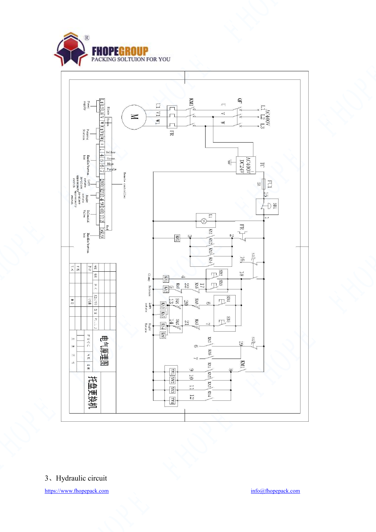



3、Hydraulic circuit<br> <https://www.fhopepack.com> [info@fhopepack.com](mailto:info@fhopepack.com) info@fhopepack.com info@fhopepack.com info